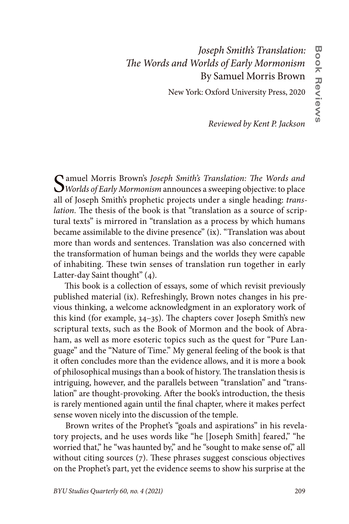## *Joseph Smith's Translation: The Words and Worlds of Early Mormonism* By Samuel Morris Brown

New York: Oxford University Press, 2020

*Reviewed by Kent P. Jackson*

Samuel Morris Brown's *Joseph Smith's Translation: The Words and Worlds of Early Mormonism* announces a sweeping objective: to place all of Joseph Smith's prophetic projects under a single heading: *translation.* The thesis of the book is that "translation as a source of scriptural texts" is mirrored in "translation as a process by which humans became assimilable to the divine presence" (ix). "Translation was about more than words and sentences. Translation was also concerned with the transformation of human beings and the worlds they were capable of inhabiting. These twin senses of translation run together in early Latter-day Saint thought" (4).

This book is a collection of essays, some of which revisit previously published material (ix). Refreshingly, Brown notes changes in his previous thinking, a welcome acknowledgment in an exploratory work of this kind (for example, 34–35). The chapters cover Joseph Smith's new scriptural texts, such as the Book of Mormon and the book of Abraham, as well as more esoteric topics such as the quest for "Pure Language" and the "Nature of Time." My general feeling of the book is that it often concludes more than the evidence allows, and it is more a book of philosophical musings than a book of history. The translation thesis is intriguing, however, and the parallels between "translation" and "translation" are thought-provoking. After the book's introduction, the thesis is rarely mentioned again until the final chapter, where it makes perfect sense woven nicely into the discussion of the temple.

Brown writes of the Prophet's "goals and aspirations" in his revelatory projects, and he uses words like "he [Joseph Smith] feared," "he worried that," he "was haunted by," and he "sought to make sense of," all without citing sources (7). These phrases suggest conscious objectives on the Prophet's part, yet the evidence seems to show his surprise at the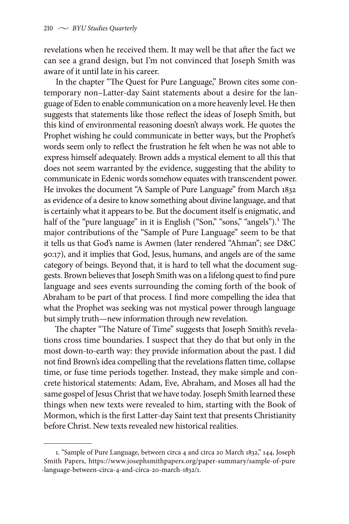revelations when he received them. It may well be that after the fact we can see a grand design, but I'm not convinced that Joseph Smith was aware of it until late in his career.

In the chapter "The Quest for Pure Language," Brown cites some contemporary non–Latter-day Saint statements about a desire for the language of Eden to enable communication on a more heavenly level. He then suggests that statements like those reflect the ideas of Joseph Smith, but this kind of environmental reasoning doesn't always work. He quotes the Prophet wishing he could communicate in better ways, but the Prophet's words seem only to reflect the frustration he felt when he was not able to express himself adequately. Brown adds a mystical element to all this that does not seem warranted by the evidence, suggesting that the ability to communicate in Edenic words somehow equates with transcendent power. He invokes the document "A Sample of Pure Language" from March 1832 as evidence of a desire to know something about divine language, and that is certainly what it appears to be. But the document itself is enigmatic, and half of the "pure language" in it is English ("Son," "sons," "angels").<sup>1</sup> The major contributions of the "Sample of Pure Language" seem to be that it tells us that God's name is Awmen (later rendered "Ahman"; see D&C 90:17), and it implies that God, Jesus, humans, and angels are of the same category of beings. Beyond that, it is hard to tell what the document suggests. Brown believes that Joseph Smith was on a lifelong quest to find pure language and sees events surrounding the coming forth of the book of Abraham to be part of that process. I find more compelling the idea that what the Prophet was seeking was not mystical power through language but simply truth—new information through new revelation.

The chapter "The Nature of Time" suggests that Joseph Smith's revelations cross time boundaries. I suspect that they do that but only in the most down-to-earth way: they provide information about the past. I did not find Brown's idea compelling that the revelations flatten time, collapse time, or fuse time periods together. Instead, they make simple and concrete historical statements: Adam, Eve, Abraham, and Moses all had the same gospel of Jesus Christ that we have today. Joseph Smith learned these things when new texts were revealed to him, starting with the Book of Mormon, which is the first Latter-day Saint text that presents Christianity before Christ. New texts revealed new historical realities.

<sup>1. &</sup>quot;Sample of Pure Language, between circa 4 and circa 20 March 1832," 144, Joseph Smith Papers, https://www.josephsmithpapers.org/paper-summary/sample-of-pure -language-between-circa-4-and-circa-20-march-1832/1.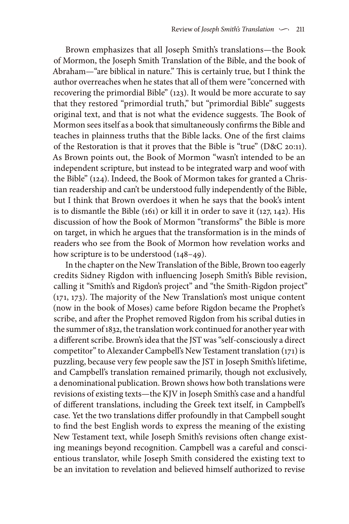Brown emphasizes that all Joseph Smith's translations—the Book of Mormon, the Joseph Smith Translation of the Bible, and the book of Abraham—"are biblical in nature." This is certainly true, but I think the author overreaches when he states that all of them were "concerned with recovering the primordial Bible" (123). It would be more accurate to say that they restored "primordial truth," but "primordial Bible" suggests original text, and that is not what the evidence suggests. The Book of Mormon sees itself as a book that simultaneously confirms the Bible and teaches in plainness truths that the Bible lacks. One of the first claims of the Restoration is that it proves that the Bible is "true" (D&C 20:11). As Brown points out, the Book of Mormon "wasn't intended to be an independent scripture, but instead to be integrated warp and woof with the Bible" (124). Indeed, the Book of Mormon takes for granted a Christian readership and can't be understood fully independently of the Bible, but I think that Brown overdoes it when he says that the book's intent is to dismantle the Bible (161) or kill it in order to save it (127, 142). His discussion of how the Book of Mormon "transforms" the Bible is more on target, in which he argues that the transformation is in the minds of readers who see from the Book of Mormon how revelation works and how scripture is to be understood  $(148-49)$ .

In the chapter on the New Translation of the Bible, Brown too eagerly credits Sidney Rigdon with influencing Joseph Smith's Bible revision, calling it "Smith's and Rigdon's project" and "the Smith-Rigdon project" (171, 173). The majority of the New Translation's most unique content (now in the book of Moses) came before Rigdon became the Prophet's scribe, and after the Prophet removed Rigdon from his scribal duties in the summer of 1832, the translation work continued for another year with a different scribe. Brown's idea that the JST was "self-consciously a direct competitor" to Alexander Campbell's New Testament translation (171) is puzzling, because very few people saw the JST in Joseph Smith's lifetime, and Campbell's translation remained primarily, though not exclusively, a denominational publication. Brown shows how both translations were revisions of existing texts—the KJV in Joseph Smith's case and a handful of different translations, including the Greek text itself, in Campbell's case. Yet the two translations differ profoundly in that Campbell sought to find the best English words to express the meaning of the existing New Testament text, while Joseph Smith's revisions often change existing meanings beyond recognition. Campbell was a careful and conscientious translator, while Joseph Smith considered the existing text to be an invitation to revelation and believed himself authorized to revise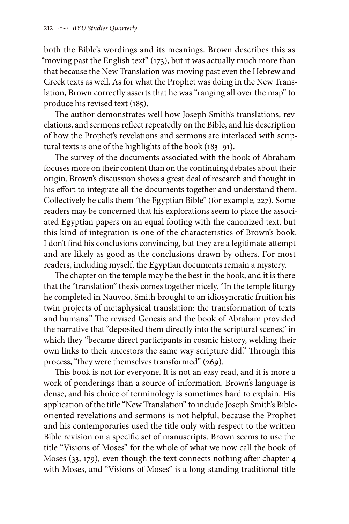both the Bible's wordings and its meanings. Brown describes this as "moving past the English text" (173), but it was actually much more than that because the New Translation was moving past even the Hebrew and Greek texts as well. As for what the Prophet was doing in the New Translation, Brown correctly asserts that he was "ranging all over the map" to produce his revised text (185).

The author demonstrates well how Joseph Smith's translations, revelations, and sermons reflect repeatedly on the Bible, and his description of how the Prophet's revelations and sermons are interlaced with scriptural texts is one of the highlights of the book (183–91).

The survey of the documents associated with the book of Abraham focuses more on their content than on the continuing debates about their origin. Brown's discussion shows a great deal of research and thought in his effort to integrate all the documents together and understand them. Collectively he calls them "the Egyptian Bible" (for example, 227). Some readers may be concerned that his explorations seem to place the associated Egyptian papers on an equal footing with the canonized text, but this kind of integration is one of the characteristics of Brown's book. I don't find his conclusions convincing, but they are a legitimate attempt and are likely as good as the conclusions drawn by others. For most readers, including myself, the Egyptian documents remain a mystery.

The chapter on the temple may be the best in the book, and it is there that the "translation" thesis comes together nicely. "In the temple liturgy he completed in Nauvoo, Smith brought to an idiosyncratic fruition his twin projects of metaphysical translation: the transformation of texts and humans." The revised Genesis and the book of Abraham provided the narrative that "deposited them directly into the scriptural scenes," in which they "became direct participants in cosmic history, welding their own links to their ancestors the same way scripture did." Through this process, "they were themselves transformed" (269).

This book is not for everyone. It is not an easy read, and it is more a work of ponderings than a source of information. Brown's language is dense, and his choice of terminology is sometimes hard to explain. His application of the title "New Translation" to include Joseph Smith's Bibleoriented revelations and sermons is not helpful, because the Prophet and his contemporaries used the title only with respect to the written Bible revision on a specific set of manuscripts. Brown seems to use the title "Visions of Moses" for the whole of what we now call the book of Moses (33, 179), even though the text connects nothing after chapter 4 with Moses, and "Visions of Moses" is a long-standing traditional title